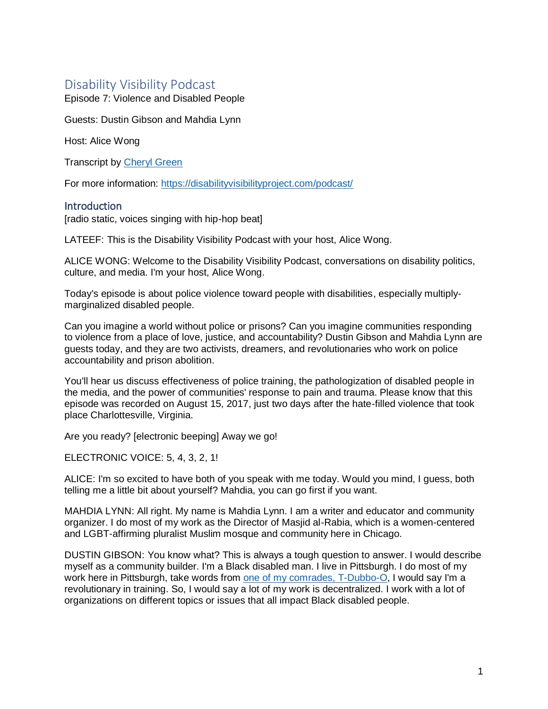# Disability Visibility Podcast

Episode 7: Violence and Disabled People

Guests: Dustin Gibson and Mahdia Lynn

Host: Alice Wong

Transcript by [Cheryl Green](http://whoamitostopit.com/)

For more information: <https://disabilityvisibilityproject.com/podcast/>

## **Introduction**

[radio static, voices singing with hip-hop beat]

LATEEF: This is the Disability Visibility Podcast with your host, Alice Wong.

ALICE WONG: Welcome to the Disability Visibility Podcast, conversations on disability politics, culture, and media. I'm your host, Alice Wong.

Today's episode is about police violence toward people with disabilities, especially multiplymarginalized disabled people.

Can you imagine a world without police or prisons? Can you imagine communities responding to violence from a place of love, justice, and accountability? Dustin Gibson and Mahdia Lynn are guests today, and they are two activists, dreamers, and revolutionaries who work on police accountability and prison abolition.

You'll hear us discuss effectiveness of police training, the pathologization of disabled people in the media, and the power of communities' response to pain and trauma. Please know that this episode was recorded on August 15, 2017, just two days after the hate-filled violence that took place Charlottesville, Virginia.

Are you ready? [electronic beeping] Away we go!

ELECTRONIC VOICE: 5, 4, 3, 2, 1!

ALICE: I'm so excited to have both of you speak with me today. Would you mind, I guess, both telling me a little bit about yourself? Mahdia, you can go first if you want.

MAHDIA LYNN: All right. My name is Mahdia Lynn. I am a writer and educator and community organizer. I do most of my work as the Director of Masjid al-Rabia, which is a women-centered and LGBT-affirming pluralist Muslim mosque and community here in Chicago.

DUSTIN GIBSON: You know what? This is always a tough question to answer. I would describe myself as a community builder. I'm a Black disabled man. I live in Pittsburgh. I do most of my work here in Pittsburgh, take words from [one of my comrades, T-Dubbo-O,](http://www.handsupunited.org/) I would say I'm a revolutionary in training. So, I would say a lot of my work is decentralized. I work with a lot of organizations on different topics or issues that all impact Black disabled people.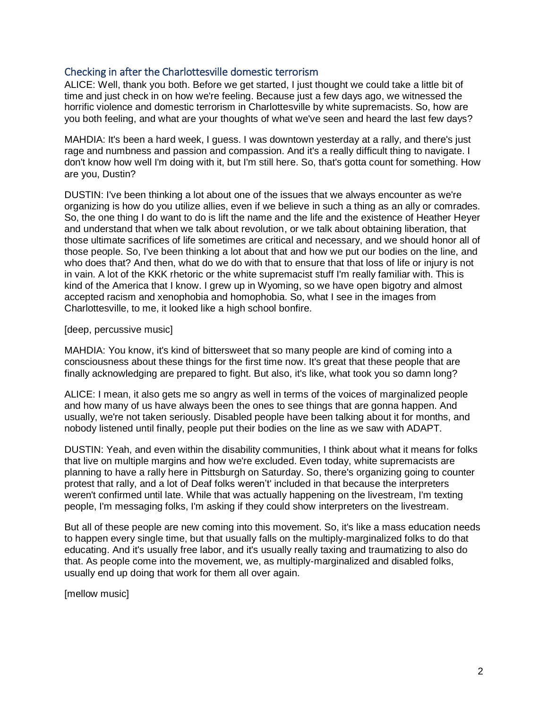## Checking in after the Charlottesville domestic terrorism

ALICE: Well, thank you both. Before we get started, I just thought we could take a little bit of time and just check in on how we're feeling. Because just a few days ago, we witnessed the horrific violence and domestic terrorism in Charlottesville by white supremacists. So, how are you both feeling, and what are your thoughts of what we've seen and heard the last few days?

MAHDIA: It's been a hard week, I guess. I was downtown yesterday at a rally, and there's just rage and numbness and passion and compassion. And it's a really difficult thing to navigate. I don't know how well I'm doing with it, but I'm still here. So, that's gotta count for something. How are you, Dustin?

DUSTIN: I've been thinking a lot about one of the issues that we always encounter as we're organizing is how do you utilize allies, even if we believe in such a thing as an ally or comrades. So, the one thing I do want to do is lift the name and the life and the existence of Heather Heyer and understand that when we talk about revolution, or we talk about obtaining liberation, that those ultimate sacrifices of life sometimes are critical and necessary, and we should honor all of those people. So, I've been thinking a lot about that and how we put our bodies on the line, and who does that? And then, what do we do with that to ensure that that loss of life or injury is not in vain. A lot of the KKK rhetoric or the white supremacist stuff I'm really familiar with. This is kind of the America that I know. I grew up in Wyoming, so we have open bigotry and almost accepted racism and xenophobia and homophobia. So, what I see in the images from Charlottesville, to me, it looked like a high school bonfire.

#### [deep, percussive music]

MAHDIA: You know, it's kind of bittersweet that so many people are kind of coming into a consciousness about these things for the first time now. It's great that these people that are finally acknowledging are prepared to fight. But also, it's like, what took you so damn long?

ALICE: I mean, it also gets me so angry as well in terms of the voices of marginalized people and how many of us have always been the ones to see things that are gonna happen. And usually, we're not taken seriously. Disabled people have been talking about it for months, and nobody listened until finally, people put their bodies on the line as we saw with ADAPT.

DUSTIN: Yeah, and even within the disability communities, I think about what it means for folks that live on multiple margins and how we're excluded. Even today, white supremacists are planning to have a rally here in Pittsburgh on Saturday. So, there's organizing going to counter protest that rally, and a lot of Deaf folks weren't' included in that because the interpreters weren't confirmed until late. While that was actually happening on the livestream, I'm texting people, I'm messaging folks, I'm asking if they could show interpreters on the livestream.

But all of these people are new coming into this movement. So, it's like a mass education needs to happen every single time, but that usually falls on the multiply-marginalized folks to do that educating. And it's usually free labor, and it's usually really taxing and traumatizing to also do that. As people come into the movement, we, as multiply-marginalized and disabled folks, usually end up doing that work for them all over again.

[mellow music]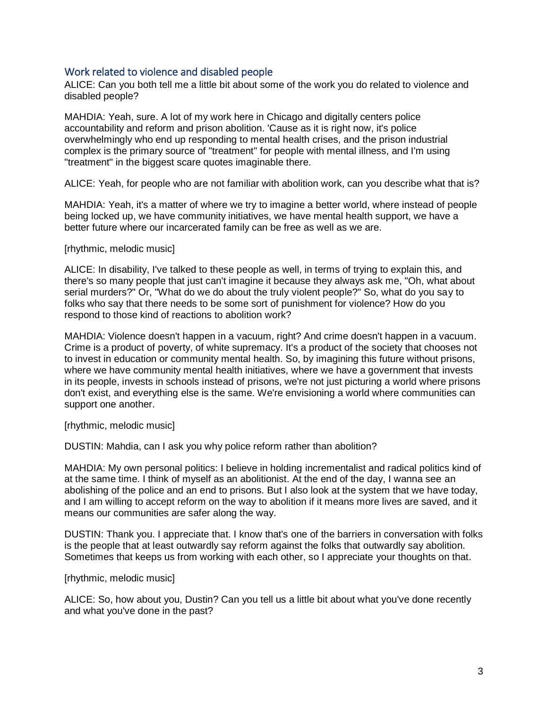#### Work related to violence and disabled people

ALICE: Can you both tell me a little bit about some of the work you do related to violence and disabled people?

MAHDIA: Yeah, sure. A lot of my work here in Chicago and digitally centers police accountability and reform and prison abolition. 'Cause as it is right now, it's police overwhelmingly who end up responding to mental health crises, and the prison industrial complex is the primary source of "treatment" for people with mental illness, and I'm using "treatment" in the biggest scare quotes imaginable there.

ALICE: Yeah, for people who are not familiar with abolition work, can you describe what that is?

MAHDIA: Yeah, it's a matter of where we try to imagine a better world, where instead of people being locked up, we have community initiatives, we have mental health support, we have a better future where our incarcerated family can be free as well as we are.

#### [rhythmic, melodic music]

ALICE: In disability, I've talked to these people as well, in terms of trying to explain this, and there's so many people that just can't imagine it because they always ask me, "Oh, what about serial murders?" Or, "What do we do about the truly violent people?" So, what do you say to folks who say that there needs to be some sort of punishment for violence? How do you respond to those kind of reactions to abolition work?

MAHDIA: Violence doesn't happen in a vacuum, right? And crime doesn't happen in a vacuum. Crime is a product of poverty, of white supremacy. It's a product of the society that chooses not to invest in education or community mental health. So, by imagining this future without prisons, where we have community mental health initiatives, where we have a government that invests in its people, invests in schools instead of prisons, we're not just picturing a world where prisons don't exist, and everything else is the same. We're envisioning a world where communities can support one another.

[rhythmic, melodic music]

DUSTIN: Mahdia, can I ask you why police reform rather than abolition?

MAHDIA: My own personal politics: I believe in holding incrementalist and radical politics kind of at the same time. I think of myself as an abolitionist. At the end of the day, I wanna see an abolishing of the police and an end to prisons. But I also look at the system that we have today, and I am willing to accept reform on the way to abolition if it means more lives are saved, and it means our communities are safer along the way.

DUSTIN: Thank you. I appreciate that. I know that's one of the barriers in conversation with folks is the people that at least outwardly say reform against the folks that outwardly say abolition. Sometimes that keeps us from working with each other, so I appreciate your thoughts on that.

[rhythmic, melodic music]

ALICE: So, how about you, Dustin? Can you tell us a little bit about what you've done recently and what you've done in the past?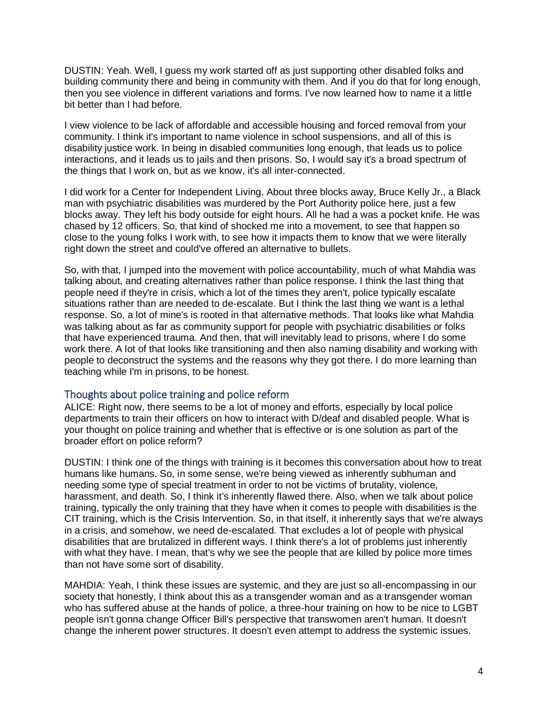DUSTIN: Yeah. Well, I guess my work started off as just supporting other disabled folks and building community there and being in community with them. And if you do that for long enough, then you see violence in different variations and forms. I've now learned how to name it a little bit better than I had before.

I view violence to be lack of affordable and accessible housing and forced removal from your community. I think it's important to name violence in school suspensions, and all of this is disability justice work. In being in disabled communities long enough, that leads us to police interactions, and it leads us to jails and then prisons. So, I would say it's a broad spectrum of the things that I work on, but as we know, it's all inter-connected.

I did work for a Center for Independent Living. About three blocks away, Bruce Kelly Jr., a Black man with psychiatric disabilities was murdered by the Port Authority police here, just a few blocks away. They left his body outside for eight hours. All he had a was a pocket knife. He was chased by 12 officers. So, that kind of shocked me into a movement, to see that happen so close to the young folks I work with, to see how it impacts them to know that we were literally right down the street and could've offered an alternative to bullets.

So, with that, I jumped into the movement with police accountability, much of what Mahdia was talking about, and creating alternatives rather than police response. I think the last thing that people need if they're in crisis, which a lot of the times they aren't, police typically escalate situations rather than are needed to de-escalate. But I think the last thing we want is a lethal response. So, a lot of mine's is rooted in that alternative methods. That looks like what Mahdia was talking about as far as community support for people with psychiatric disabilities or folks that have experienced trauma. And then, that will inevitably lead to prisons, where I do some work there. A lot of that looks like transitioning and then also naming disability and working with people to deconstruct the systems and the reasons why they got there. I do more learning than teaching while I'm in prisons, to be honest.

## Thoughts about police training and police reform

ALICE: Right now, there seems to be a lot of money and efforts, especially by local police departments to train their officers on how to interact with D/deaf and disabled people. What is your thought on police training and whether that is effective or is one solution as part of the broader effort on police reform?

DUSTIN: I think one of the things with training is it becomes this conversation about how to treat humans like humans. So, in some sense, we're being viewed as inherently subhuman and needing some type of special treatment in order to not be victims of brutality, violence, harassment, and death. So, I think it's inherently flawed there. Also, when we talk about police training, typically the only training that they have when it comes to people with disabilities is the CIT training, which is the Crisis Intervention. So, in that itself, it inherently says that we're always in a crisis, and somehow, we need de-escalated. That excludes a lot of people with physical disabilities that are brutalized in different ways. I think there's a lot of problems just inherently with what they have. I mean, that's why we see the people that are killed by police more times than not have some sort of disability.

MAHDIA: Yeah, I think these issues are systemic, and they are just so all-encompassing in our society that honestly, I think about this as a transgender woman and as a transgender woman who has suffered abuse at the hands of police, a three-hour training on how to be nice to LGBT people isn't gonna change Officer Bill's perspective that transwomen aren't human. It doesn't change the inherent power structures. It doesn't even attempt to address the systemic issues.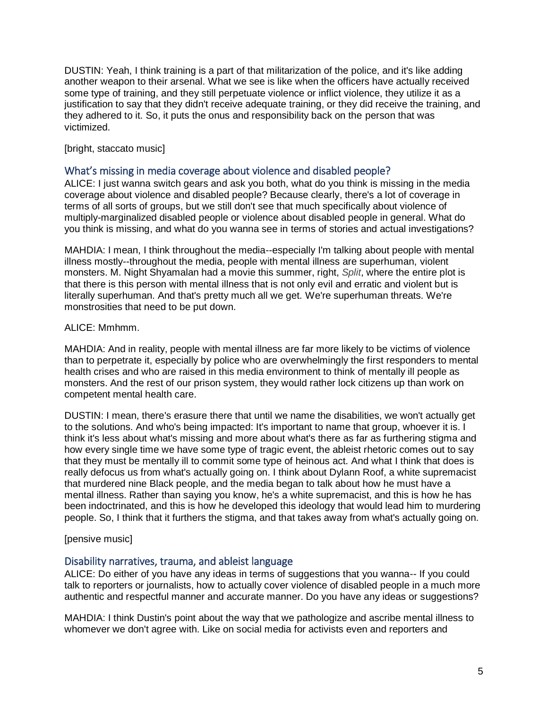DUSTIN: Yeah, I think training is a part of that militarization of the police, and it's like adding another weapon to their arsenal. What we see is like when the officers have actually received some type of training, and they still perpetuate violence or inflict violence, they utilize it as a justification to say that they didn't receive adequate training, or they did receive the training, and they adhered to it. So, it puts the onus and responsibility back on the person that was victimized.

[bright, staccato music]

## What's missing in media coverage about violence and disabled people?

ALICE: I just wanna switch gears and ask you both, what do you think is missing in the media coverage about violence and disabled people? Because clearly, there's a lot of coverage in terms of all sorts of groups, but we still don't see that much specifically about violence of multiply-marginalized disabled people or violence about disabled people in general. What do you think is missing, and what do you wanna see in terms of stories and actual investigations?

MAHDIA: I mean, I think throughout the media--especially I'm talking about people with mental illness mostly--throughout the media, people with mental illness are superhuman, violent monsters. M. Night Shyamalan had a movie this summer, right, *Split*, where the entire plot is that there is this person with mental illness that is not only evil and erratic and violent but is literally superhuman. And that's pretty much all we get. We're superhuman threats. We're monstrosities that need to be put down.

#### ALICE: Mmhmm.

MAHDIA: And in reality, people with mental illness are far more likely to be victims of violence than to perpetrate it, especially by police who are overwhelmingly the first responders to mental health crises and who are raised in this media environment to think of mentally ill people as monsters. And the rest of our prison system, they would rather lock citizens up than work on competent mental health care.

DUSTIN: I mean, there's erasure there that until we name the disabilities, we won't actually get to the solutions. And who's being impacted: It's important to name that group, whoever it is. I think it's less about what's missing and more about what's there as far as furthering stigma and how every single time we have some type of tragic event, the ableist rhetoric comes out to say that they must be mentally ill to commit some type of heinous act. And what I think that does is really defocus us from what's actually going on. I think about Dylann Roof, a white supremacist that murdered nine Black people, and the media began to talk about how he must have a mental illness. Rather than saying you know, he's a white supremacist, and this is how he has been indoctrinated, and this is how he developed this ideology that would lead him to murdering people. So, I think that it furthers the stigma, and that takes away from what's actually going on.

## [pensive music]

## Disability narratives, trauma, and ableist language

ALICE: Do either of you have any ideas in terms of suggestions that you wanna-- If you could talk to reporters or journalists, how to actually cover violence of disabled people in a much more authentic and respectful manner and accurate manner. Do you have any ideas or suggestions?

MAHDIA: I think Dustin's point about the way that we pathologize and ascribe mental illness to whomever we don't agree with. Like on social media for activists even and reporters and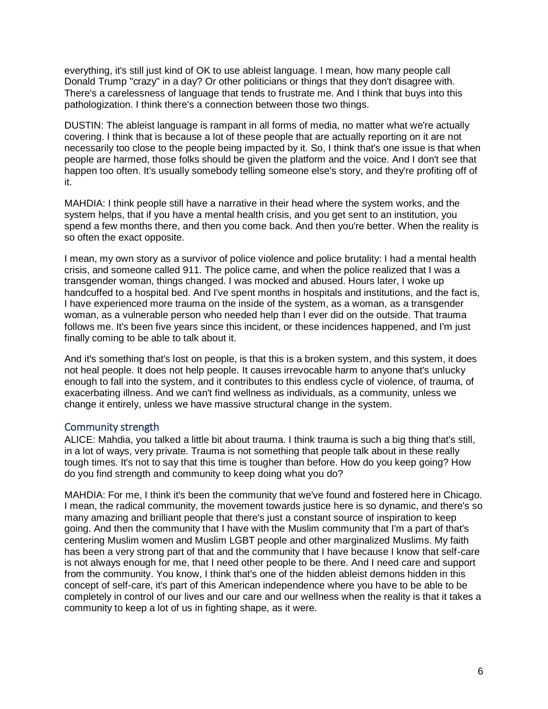everything, it's still just kind of OK to use ableist language. I mean, how many people call Donald Trump "crazy" in a day? Or other politicians or things that they don't disagree with. There's a carelessness of language that tends to frustrate me. And I think that buys into this pathologization. I think there's a connection between those two things.

DUSTIN: The ableist language is rampant in all forms of media, no matter what we're actually covering. I think that is because a lot of these people that are actually reporting on it are not necessarily too close to the people being impacted by it. So, I think that's one issue is that when people are harmed, those folks should be given the platform and the voice. And I don't see that happen too often. It's usually somebody telling someone else's story, and they're profiting off of it.

MAHDIA: I think people still have a narrative in their head where the system works, and the system helps, that if you have a mental health crisis, and you get sent to an institution, you spend a few months there, and then you come back. And then you're better. When the reality is so often the exact opposite.

I mean, my own story as a survivor of police violence and police brutality: I had a mental health crisis, and someone called 911. The police came, and when the police realized that I was a transgender woman, things changed. I was mocked and abused. Hours later, I woke up handcuffed to a hospital bed. And I've spent months in hospitals and institutions, and the fact is, I have experienced more trauma on the inside of the system, as a woman, as a transgender woman, as a vulnerable person who needed help than I ever did on the outside. That trauma follows me. It's been five years since this incident, or these incidences happened, and I'm just finally coming to be able to talk about it.

And it's something that's lost on people, is that this is a broken system, and this system, it does not heal people. It does not help people. It causes irrevocable harm to anyone that's unlucky enough to fall into the system, and it contributes to this endless cycle of violence, of trauma, of exacerbating illness. And we can't find wellness as individuals, as a community, unless we change it entirely, unless we have massive structural change in the system.

## Community strength

ALICE: Mahdia, you talked a little bit about trauma. I think trauma is such a big thing that's still, in a lot of ways, very private. Trauma is not something that people talk about in these really tough times. It's not to say that this time is tougher than before. How do you keep going? How do you find strength and community to keep doing what you do?

MAHDIA: For me, I think it's been the community that we've found and fostered here in Chicago. I mean, the radical community, the movement towards justice here is so dynamic, and there's so many amazing and brilliant people that there's just a constant source of inspiration to keep going. And then the community that I have with the Muslim community that I'm a part of that's centering Muslim women and Muslim LGBT people and other marginalized Muslims. My faith has been a very strong part of that and the community that I have because I know that self-care is not always enough for me, that I need other people to be there. And I need care and support from the community. You know, I think that's one of the hidden ableist demons hidden in this concept of self-care, it's part of this American independence where you have to be able to be completely in control of our lives and our care and our wellness when the reality is that it takes a community to keep a lot of us in fighting shape, as it were.